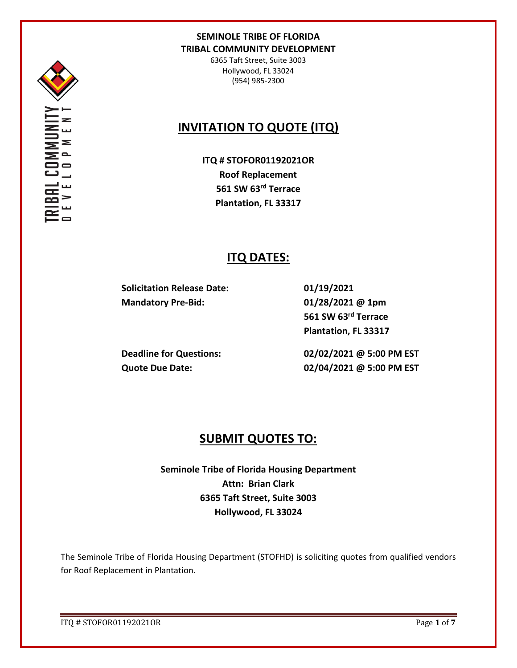

Σ

6365 Taft Street, Suite 3003 Hollywood, FL 33024 (954) 985-2300

# **INVITATION TO QUOTE (ITQ)**

**ITQ # STOFOR01192021OR Roof Replacement 561 SW 63rd Terrace Plantation, FL 33317**

# **ITQ DATES:**

**Solicitation Release Date: 01/19/2021 Mandatory Pre-Bid: 01/28/2021 @ 1pm**

**561 SW 63rd Terrace Plantation, FL 33317**

**Deadline for Questions: 02/02/2021 @ 5:00 PM EST Quote Due Date: 02/04/2021 @ 5:00 PM EST**

## **SUBMIT QUOTES TO:**

**Seminole Tribe of Florida Housing Department Attn: Brian Clark 6365 Taft Street, Suite 3003 Hollywood, FL 33024**

The Seminole Tribe of Florida Housing Department (STOFHD) is soliciting quotes from qualified vendors for Roof Replacement in Plantation.

ITQ # STOFOR01192021OR Page **1** of **7**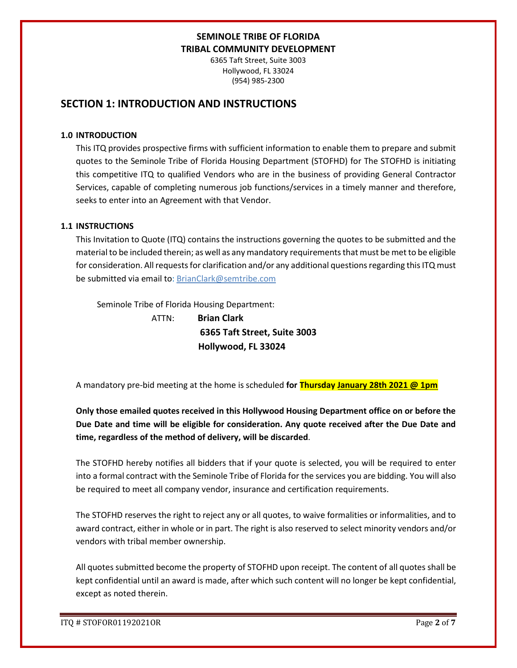6365 Taft Street, Suite 3003 Hollywood, FL 33024 (954) 985-2300

## **SECTION 1: INTRODUCTION AND INSTRUCTIONS**

#### **1.0 INTRODUCTION**

This ITQ provides prospective firms with sufficient information to enable them to prepare and submit quotes to the Seminole Tribe of Florida Housing Department (STOFHD) for The STOFHD is initiating this competitive ITQ to qualified Vendors who are in the business of providing General Contractor Services, capable of completing numerous job functions/services in a timely manner and therefore, seeks to enter into an Agreement with that Vendor.

### **1.1 INSTRUCTIONS**

This Invitation to Quote (ITQ) contains the instructions governing the quotes to be submitted and the material to be included therein; as well as any mandatory requirements that must be met to be eligible for consideration. All requests for clarification and/or any additional questions regarding this ITQ must be submitted via email to: BrianClark@semtribe.com

Seminole Tribe of Florida Housing Department:

 ATTN: **Brian Clark 6365 Taft Street, Suite 3003 Hollywood, FL 33024**

A mandatory pre-bid meeting at the home is scheduled **for Thursday January 28th 2021 @ 1pm** 

**Only those emailed quotes received in this Hollywood Housing Department office on or before the Due Date and time will be eligible for consideration. Any quote received after the Due Date and time, regardless of the method of delivery, will be discarded**.

The STOFHD hereby notifies all bidders that if your quote is selected, you will be required to enter into a formal contract with the Seminole Tribe of Florida for the services you are bidding. You will also be required to meet all company vendor, insurance and certification requirements.

The STOFHD reserves the right to reject any or all quotes, to waive formalities or informalities, and to award contract, either in whole or in part. The right is also reserved to select minority vendors and/or vendors with tribal member ownership.

All quotes submitted become the property of STOFHD upon receipt. The content of all quotes shall be kept confidential until an award is made, after which such content will no longer be kept confidential, except as noted therein.

ITQ # STOFOR01192021OR Page **2** of **7**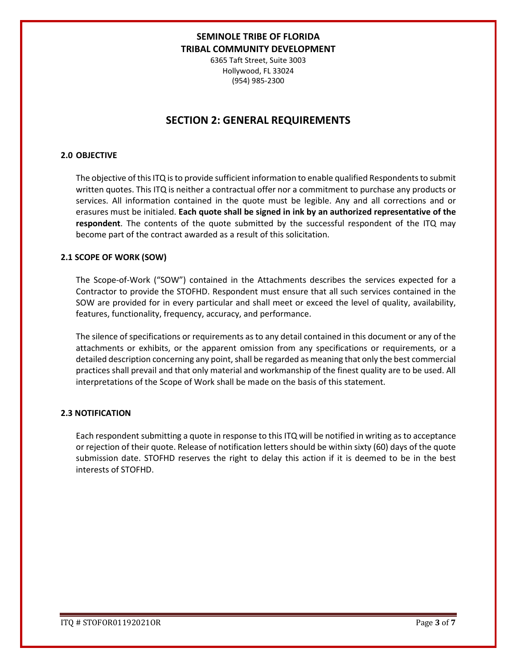6365 Taft Street, Suite 3003 Hollywood, FL 33024 (954) 985-2300

## **SECTION 2: GENERAL REQUIREMENTS**

#### **2.0 OBJECTIVE**

The objective of this ITQ is to provide sufficient information to enable qualified Respondents to submit written quotes. This ITQ is neither a contractual offer nor a commitment to purchase any products or services. All information contained in the quote must be legible. Any and all corrections and or erasures must be initialed. **Each quote shall be signed in ink by an authorized representative of the respondent**. The contents of the quote submitted by the successful respondent of the ITQ may become part of the contract awarded as a result of this solicitation.

### **2.1 SCOPE OF WORK (SOW)**

The Scope-of-Work ("SOW") contained in the Attachments describes the services expected for a Contractor to provide the STOFHD. Respondent must ensure that all such services contained in the SOW are provided for in every particular and shall meet or exceed the level of quality, availability, features, functionality, frequency, accuracy, and performance.

The silence of specifications or requirements as to any detail contained in this document or any of the attachments or exhibits, or the apparent omission from any specifications or requirements, or a detailed description concerning any point, shall be regarded as meaning that only the best commercial practices shall prevail and that only material and workmanship of the finest quality are to be used. All interpretations of the Scope of Work shall be made on the basis of this statement.

### **2.3 NOTIFICATION**

Each respondent submitting a quote in response to this ITQ will be notified in writing as to acceptance or rejection of their quote. Release of notification letters should be within sixty (60) days of the quote submission date. STOFHD reserves the right to delay this action if it is deemed to be in the best interests of STOFHD.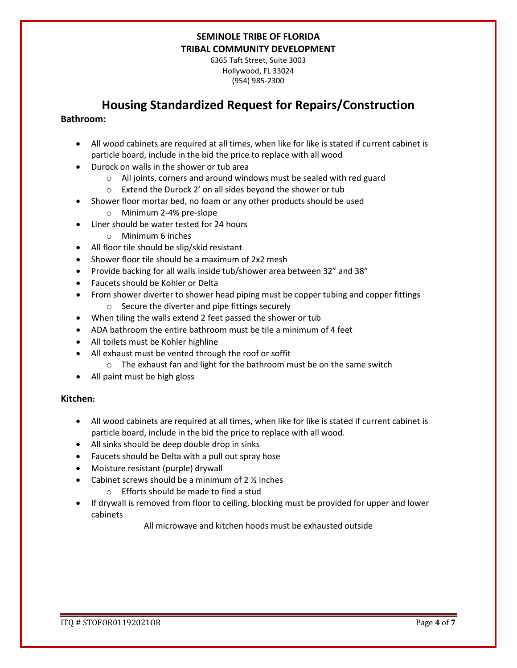6365 Taft Street, Suite 3003 Hollywood, FL 33024 (954) 985-2300

## **Housing Standardized Request for Repairs/Construction**

### **Bathroom:**

- All wood cabinets are required at all times, when like for like is stated if current cabinet is particle board, include in the bid the price to replace with all wood
- Durock on walls in the shower or tub area
	- o All joints, corners and around windows must be sealed with red guard
	- o Extend the Durock 2' on all sides beyond the shower or tub
- Shower floor mortar bed, no foam or any other products should be used
	- o Minimum 2-4% pre-slope
- Liner should be water tested for 24 hours
	- o Minimum 6 inches
- All floor tile should be slip/skid resistant
- Shower floor tile should be a maximum of 2x2 mesh
- Provide backing for all walls inside tub/shower area between 32" and 38"
- Faucets should be Kohler or Delta
- From shower diverter to shower head piping must be copper tubing and copper fittings o Secure the diverter and pipe fittings securely
- When tiling the walls extend 2 feet passed the shower or tub
- ADA bathroom the entire bathroom must be tile a minimum of 4 feet
- All toilets must be Kohler highline
- All exhaust must be vented through the roof or soffit
	- o The exhaust fan and light for the bathroom must be on the same switch
- All paint must be high gloss

### **Kitchen:**

- All wood cabinets are required at all times, when like for like is stated if current cabinet is particle board, include in the bid the price to replace with all wood.
- All sinks should be deep double drop in sinks
- Faucets should be Delta with a pull out spray hose
- Moisture resistant (purple) drywall
- Cabinet screws should be a minimum of  $2\frac{1}{2}$  inches
	- o Efforts should be made to find a stud
- If drywall is removed from floor to ceiling, blocking must be provided for upper and lower cabinets

All microwave and kitchen hoods must be exhausted outside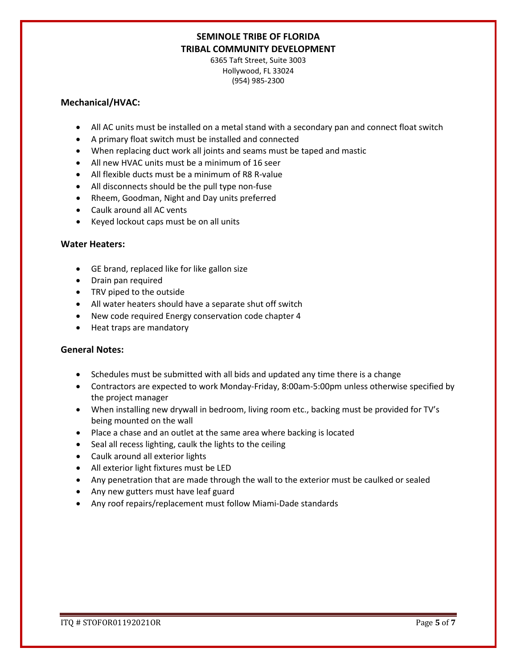6365 Taft Street, Suite 3003 Hollywood, FL 33024 (954) 985-2300

### **Mechanical/HVAC:**

- All AC units must be installed on a metal stand with a secondary pan and connect float switch
- A primary float switch must be installed and connected
- When replacing duct work all joints and seams must be taped and mastic
- All new HVAC units must be a minimum of 16 seer
- All flexible ducts must be a minimum of R8 R-value
- All disconnects should be the pull type non-fuse
- Rheem, Goodman, Night and Day units preferred
- Caulk around all AC vents
- Keyed lockout caps must be on all units

### **Water Heaters:**

- GE brand, replaced like for like gallon size
- Drain pan required
- TRV piped to the outside
- All water heaters should have a separate shut off switch
- New code required Energy conservation code chapter 4
- Heat traps are mandatory

### **General Notes:**

- Schedules must be submitted with all bids and updated any time there is a change
- Contractors are expected to work Monday-Friday, 8:00am-5:00pm unless otherwise specified by the project manager
- When installing new drywall in bedroom, living room etc., backing must be provided for TV's being mounted on the wall
- Place a chase and an outlet at the same area where backing is located
- Seal all recess lighting, caulk the lights to the ceiling
- Caulk around all exterior lights
- All exterior light fixtures must be LED
- Any penetration that are made through the wall to the exterior must be caulked or sealed
- Any new gutters must have leaf guard
- Any roof repairs/replacement must follow Miami-Dade standards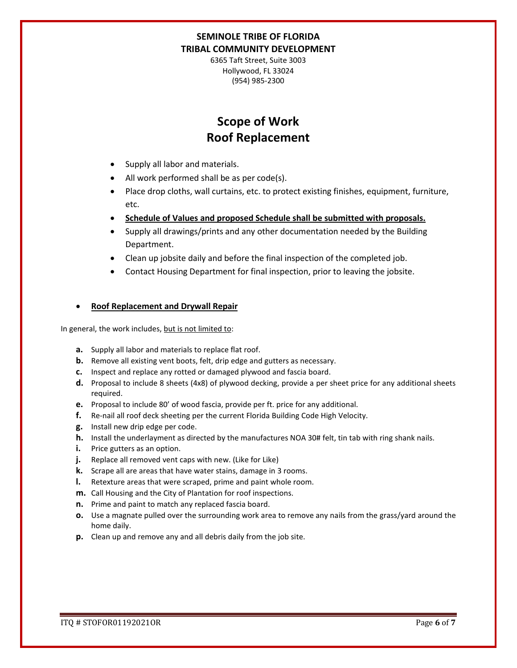6365 Taft Street, Suite 3003 Hollywood, FL 33024 (954) 985-2300

# **Scope of Work Roof Replacement**

- Supply all labor and materials.
- All work performed shall be as per code(s).
- Place drop cloths, wall curtains, etc. to protect existing finishes, equipment, furniture, etc.
- **Schedule of Values and proposed Schedule shall be submitted with proposals.**
- Supply all drawings/prints and any other documentation needed by the Building Department.
- Clean up jobsite daily and before the final inspection of the completed job.
- Contact Housing Department for final inspection, prior to leaving the jobsite.

### • **Roof Replacement and Drywall Repair**

In general, the work includes, but is not limited to:

- **a.** Supply all labor and materials to replace flat roof.
- **b.** Remove all existing vent boots, felt, drip edge and gutters as necessary.
- **c.** Inspect and replace any rotted or damaged plywood and fascia board.
- **d.** Proposal to include 8 sheets (4x8) of plywood decking, provide a per sheet price for any additional sheets required.
- **e.** Proposal to include 80' of wood fascia, provide per ft. price for any additional.
- **f.** Re-nail all roof deck sheeting per the current Florida Building Code High Velocity.
- **g.** Install new drip edge per code.
- **h.** Install the underlayment as directed by the manufactures NOA 30# felt, tin tab with ring shank nails.
- **i.** Price gutters as an option.
- **j.** Replace all removed vent caps with new. (Like for Like)
- **k.** Scrape all are areas that have water stains, damage in 3 rooms.
- **l.** Retexture areas that were scraped, prime and paint whole room.
- **m.** Call Housing and the City of Plantation for roof inspections.
- **n.** Prime and paint to match any replaced fascia board.
- **o.** Use a magnate pulled over the surrounding work area to remove any nails from the grass/yard around the home daily.
- **p.** Clean up and remove any and all debris daily from the job site.